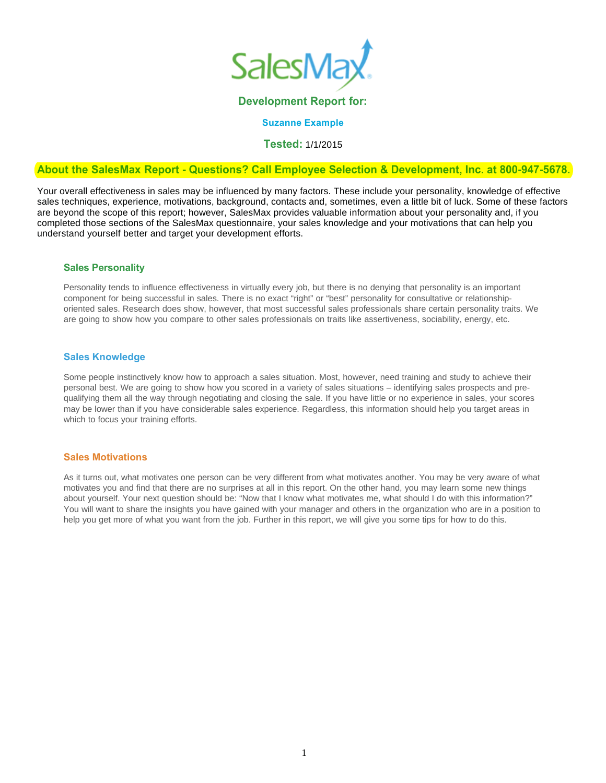

#### **Development Report for:**

**Suzanne Example**

**Tested:** 1/1/2015

## **About the SalesMax Report - Questions? Call Employee Selection & Development, Inc. at 800-947-5678.**

Your overall effectiveness in sales may be influenced by many factors. These include your personality, knowledge of effective sales techniques, experience, motivations, background, contacts and, sometimes, even a little bit of luck. Some of these factors are beyond the scope of this report; however, SalesMax provides valuable information about your personality and, if you completed those sections of the SalesMax questionnaire, your sales knowledge and your motivations that can help you understand yourself better and target your development efforts.

#### **Sales Personality**

Personality tends to influence effectiveness in virtually every job, but there is no denying that personality is an important component for being successful in sales. There is no exact "right" or "best" personality for consultative or relationshiporiented sales. Research does show, however, that most successful sales professionals share certain personality traits. We are going to show how you compare to other sales professionals on traits like assertiveness, sociability, energy, etc.

#### **Sales Knowledge**

Some people instinctively know how to approach a sales situation. Most, however, need training and study to achieve their personal best. We are going to show how you scored in a variety of sales situations – identifying sales prospects and prequalifying them all the way through negotiating and closing the sale. If you have little or no experience in sales, your scores may be lower than if you have considerable sales experience. Regardless, this information should help you target areas in which to focus your training efforts.

#### **Sales Motivations**

As it turns out, what motivates one person can be very different from what motivates another. You may be very aware of what motivates you and find that there are no surprises at all in this report. On the other hand, you may learn some new things about yourself. Your next question should be: "Now that I know what motivates me, what should I do with this information?" You will want to share the insights you have gained with your manager and others in the organization who are in a position to help you get more of what you want from the job. Further in this report, we will give you some tips for how to do this.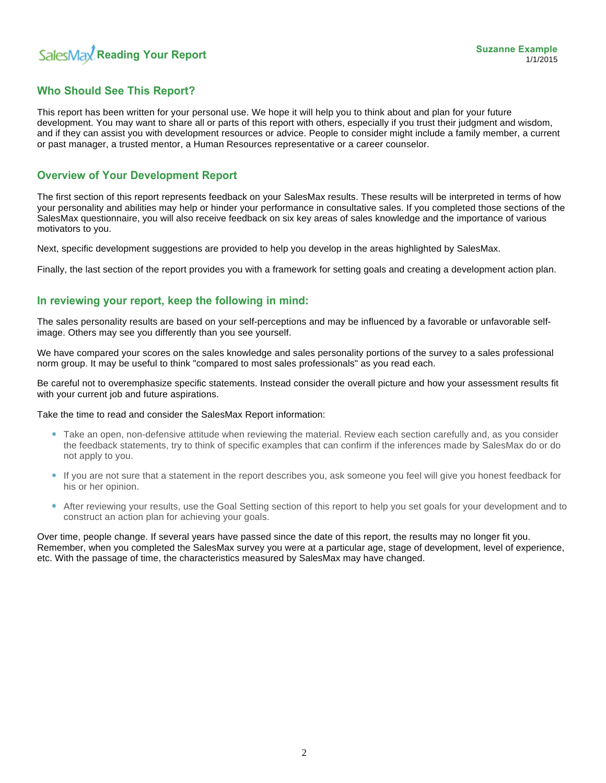# **Who Should See This Report?**

This report has been written for your personal use. We hope it will help you to think about and plan for your future development. You may want to share all or parts of this report with others, especially if you trust their judgment and wisdom, and if they can assist you with development resources or advice. People to consider might include a family member, a current or past manager, a trusted mentor, a Human Resources representative or a career counselor.

# **Overview of Your Development Report**

The first section of this report represents feedback on your SalesMax results. These results will be interpreted in terms of how your personality and abilities may help or hinder your performance in consultative sales. If you completed those sections of the SalesMax questionnaire, you will also receive feedback on six key areas of sales knowledge and the importance of various motivators to you.

Next, specific development suggestions are provided to help you develop in the areas highlighted by SalesMax.

Finally, the last section of the report provides you with a framework for setting goals and creating a development action plan.

# **In reviewing your report, keep the following in mind:**

The sales personality results are based on your self-perceptions and may be influenced by a favorable or unfavorable selfimage. Others may see you differently than you see yourself.

We have compared your scores on the sales knowledge and sales personality portions of the survey to a sales professional norm group. It may be useful to think "compared to most sales professionals" as you read each.

Be careful not to overemphasize specific statements. Instead consider the overall picture and how your assessment results fit with your current job and future aspirations.

Take the time to read and consider the SalesMax Report information:

- Take an open, non-defensive attitude when reviewing the material. Review each section carefully and, as you consider the feedback statements, try to think of specific examples that can confirm if the inferences made by SalesMax do or do not apply to you.
- If you are not sure that a statement in the report describes you, ask someone you feel will give you honest feedback for his or her opinion.
- After reviewing your results, use the Goal Setting section of this report to help you set goals for your development and to construct an action plan for achieving your goals.

Over time, people change. If several years have passed since the date of this report, the results may no longer fit you. Remember, when you completed the SalesMax survey you were at a particular age, stage of development, level of experience, etc. With the passage of time, the characteristics measured by SalesMax may have changed.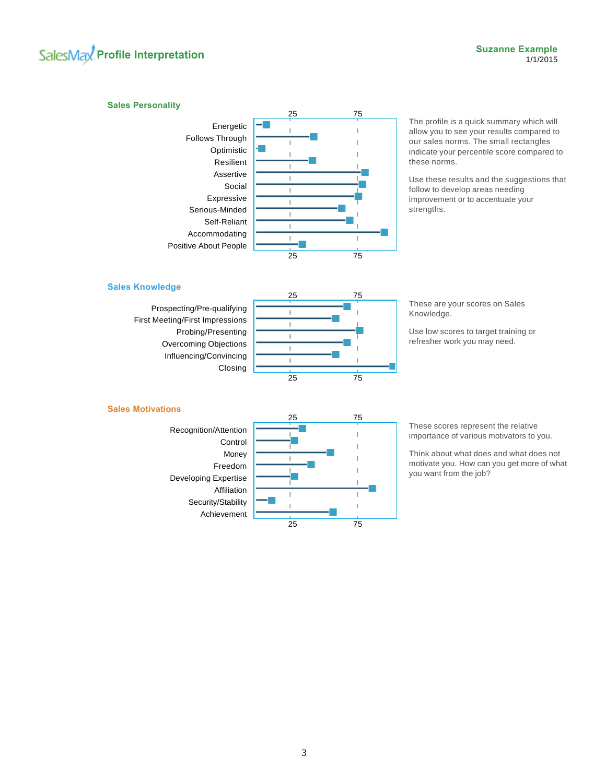# **SalesMay** Profile Interpretation **Contract Example** 5 and the set of the set of the set of the set of the set of the set of the set of the set of the set of the set of the set of the set of the set of the set of the set o

#### **Sales Personality**



The profile is a quick summary which will allow you to see your results compared to our sales norms. The small rectangles indicate your percentile score compared to these norms.

Use these results and the suggestions that follow to develop areas needing improvement or to accentuate your strengths.

#### **Sales Knowledge**

Prospecting/Pre-qualifying First Meeting/First Impressions Probing/Presenting Overcoming Objections Influencing/Convincing Closing



These are your scores on Sales Knowledge.

Use low scores to target training or refresher work you may need.

#### **Sales Motivations**



These scores represent the relative importance of various motivators to you.

Think about what does and what does not motivate you. How can you get more of what you want from the job?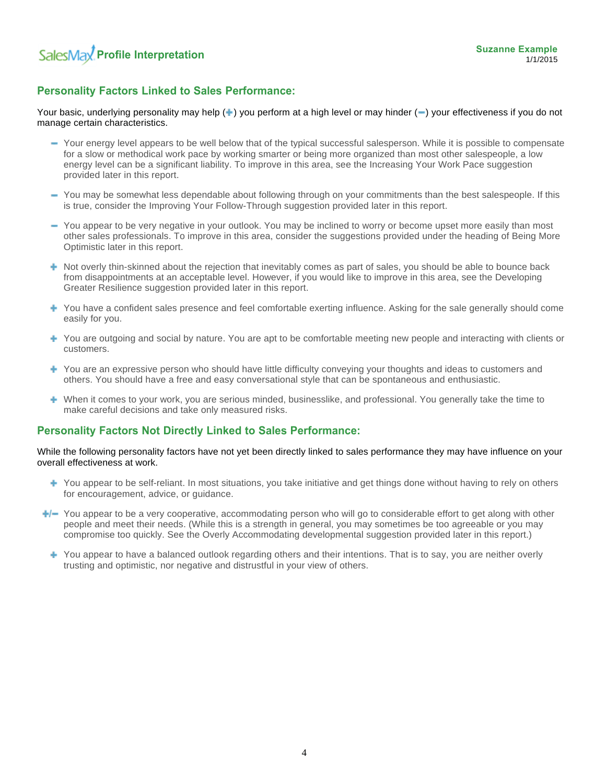# **Personality Factors Linked to Sales Performance:**

Your basic, underlying personality may help  $(+)$  you perform at a high level or may hinder  $(-)$  your effectiveness if you do not manage certain characteristics.

- Your energy level appears to be well below that of the typical successful salesperson. While it is possible to compensate for a slow or methodical work pace by working smarter or being more organized than most other salespeople, a low energy level can be a significant liability. To improve in this area, see the Increasing Your Work Pace suggestion provided later in this report.
- You may be somewhat less dependable about following through on your commitments than the best salespeople. If this is true, consider the Improving Your Follow-Through suggestion provided later in this report.
- You appear to be very negative in your outlook. You may be inclined to worry or become upset more easily than most other sales professionals. To improve in this area, consider the suggestions provided under the heading of Being More Optimistic later in this report.
- $\blacktriangleright$  Not overly thin-skinned about the rejection that inevitably comes as part of sales, you should be able to bounce back from disappointments at an acceptable level. However, if you would like to improve in this area, see the Developing Greater Resilience suggestion provided later in this report.
- You have a confident sales presence and feel comfortable exerting influence. Asking for the sale generally should come easily for you.
- You are outgoing and social by nature. You are apt to be comfortable meeting new people and interacting with clients or customers.
- You are an expressive person who should have little difficulty conveying your thoughts and ideas to customers and others. You should have a free and easy conversational style that can be spontaneous and enthusiastic.
- When it comes to your work, you are serious minded, businesslike, and professional. You generally take the time to make careful decisions and take only measured risks.

# **Personality Factors Not Directly Linked to Sales Performance:**

While the following personality factors have not yet been directly linked to sales performance they may have influence on your overall effectiveness at work.

- You appear to be self-reliant. In most situations, you take initiative and get things done without having to rely on others for encouragement, advice, or guidance.
- $\rightarrow$  You appear to be a very cooperative, accommodating person who will go to considerable effort to get along with other people and meet their needs. (While this is a strength in general, you may sometimes be too agreeable or you may compromise too quickly. See the Overly Accommodating developmental suggestion provided later in this report.)
	- You appear to have a balanced outlook regarding others and their intentions. That is to say, you are neither overly trusting and optimistic, nor negative and distrustful in your view of others.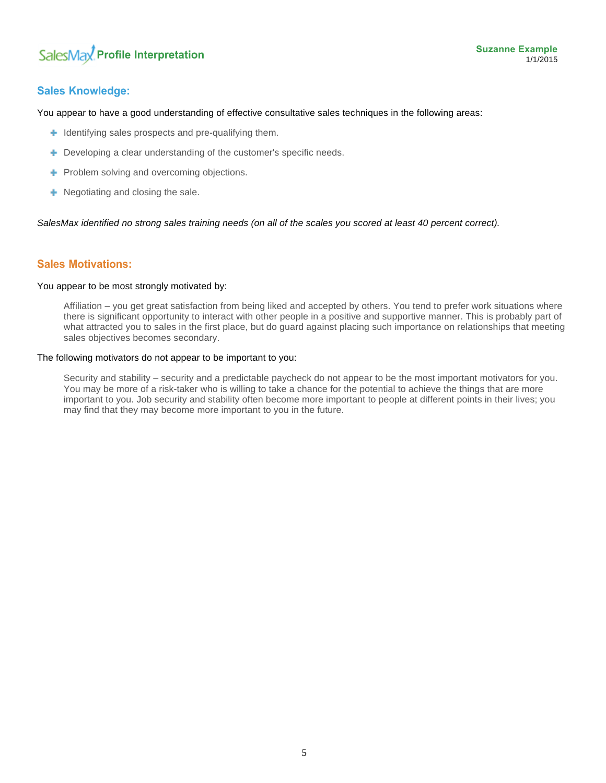# **Sales Knowledge:**

You appear to have a good understanding of effective consultative sales techniques in the following areas:

- $\blacksquare$  Identifying sales prospects and pre-qualifying them.
- **+** Developing a clear understanding of the customer's specific needs.
- **Problem solving and overcoming objections.**
- **+** Negotiating and closing the sale.

*SalesMax identified no strong sales training needs (on all of the scales you scored at least 40 percent correct).*

# **Sales Motivations:**

#### You appear to be most strongly motivated by:

Affiliation – you get great satisfaction from being liked and accepted by others. You tend to prefer work situations where there is significant opportunity to interact with other people in a positive and supportive manner. This is probably part of what attracted you to sales in the first place, but do guard against placing such importance on relationships that meeting sales objectives becomes secondary.

#### The following motivators do not appear to be important to you:

Security and stability – security and a predictable paycheck do not appear to be the most important motivators for you. You may be more of a risk-taker who is willing to take a chance for the potential to achieve the things that are more important to you. Job security and stability often become more important to people at different points in their lives; you may find that they may become more important to you in the future.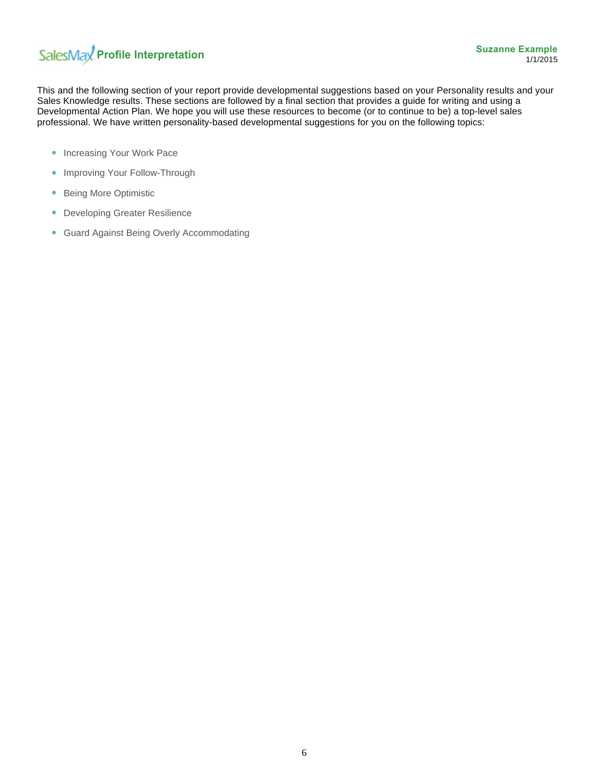# SalesMax<sup>2</sup> Profile Interpretation

This and the following section of your report provide developmental suggestions based on your Personality results and your Sales Knowledge results. These sections are followed by a final section that provides a guide for writing and using a Developmental Action Plan. We hope you will use these resources to become (or to continue to be) a top-level sales professional. We have written personality-based developmental suggestions for you on the following topics:

- Increasing Your Work Pace
- Improving Your Follow-Through
- Being More Optimistic
- **Developing Greater Resilience**
- Guard Against Being Overly Accommodating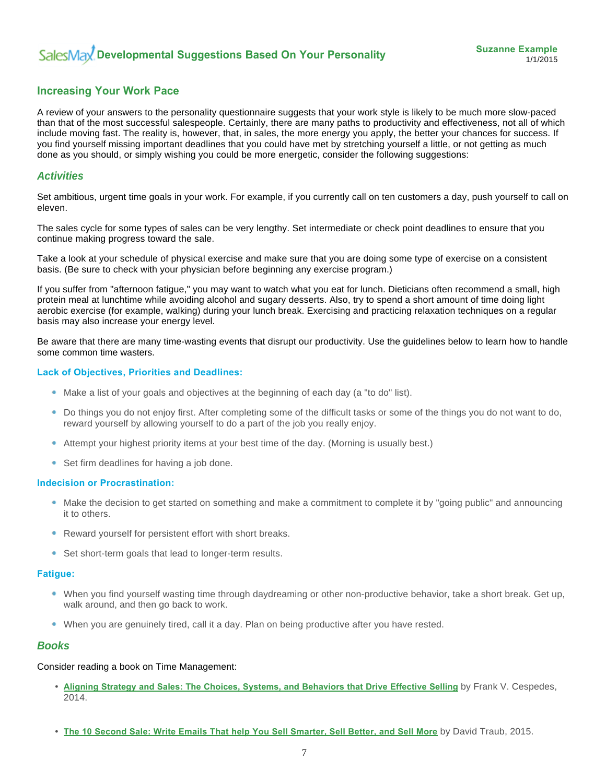# **Increasing Your Work Pace**

A review of your answers to the personality questionnaire suggests that your work style is likely to be much more slow-paced than that of the most successful salespeople. Certainly, there are many paths to productivity and effectiveness, not all of which include moving fast. The reality is, however, that, in sales, the more energy you apply, the better your chances for success. If you find yourself missing important deadlines that you could have met by stretching yourself a little, or not getting as much done as you should, or simply wishing you could be more energetic, consider the following suggestions:

#### *Activities*

Set ambitious, urgent time goals in your work. For example, if you currently call on ten customers a day, push yourself to call on eleven.

The sales cycle for some types of sales can be very lengthy. Set intermediate or check point deadlines to ensure that you continue making progress toward the sale.

Take a look at your schedule of physical exercise and make sure that you are doing some type of exercise on a consistent basis. (Be sure to check with your physician before beginning any exercise program.)

If you suffer from "afternoon fatigue," you may want to watch what you eat for lunch. Dieticians often recommend a small, high protein meal at lunchtime while avoiding alcohol and sugary desserts. Also, try to spend a short amount of time doing light aerobic exercise (for example, walking) during your lunch break. Exercising and practicing relaxation techniques on a regular basis may also increase your energy level.

Be aware that there are many time-wasting events that disrupt our productivity. Use the guidelines below to learn how to handle some common time wasters.

#### **Lack of Objectives, Priorities and Deadlines:**

- Make a list of your goals and objectives at the beginning of each day (a "to do" list).
- Do things you do not enjoy first. After completing some of the difficult tasks or some of the things you do not want to do, reward yourself by allowing yourself to do a part of the job you really enjoy.
- Attempt your highest priority items at your best time of the day. (Morning is usually best.)
- Set firm deadlines for having a job done.

#### **Indecision or Procrastination:**

- Make the decision to get started on something and make a commitment to complete it by "going public" and announcing it to others.
- Reward yourself for persistent effort with short breaks.
- Set short-term goals that lead to longer-term results.

#### **Fatigue:**

- When you find yourself wasting time through daydreaming or other non-productive behavior, take a short break. Get up, walk around, and then go back to work.
- When you are genuinely tired, call it a day. Plan on being productive after you have rested.

#### *Books*

#### Consider reading a book on Time Management:

- **Aligning Strategy and Sales: The Choices, Systems, and Behaviors that Drive Effective Selling** by Frank V. Cespedes, 2014.
- **The 10 Second Sale: Write Emails That help You Sell Smarter, Sell Better, and Sell More** by David Traub, 2015.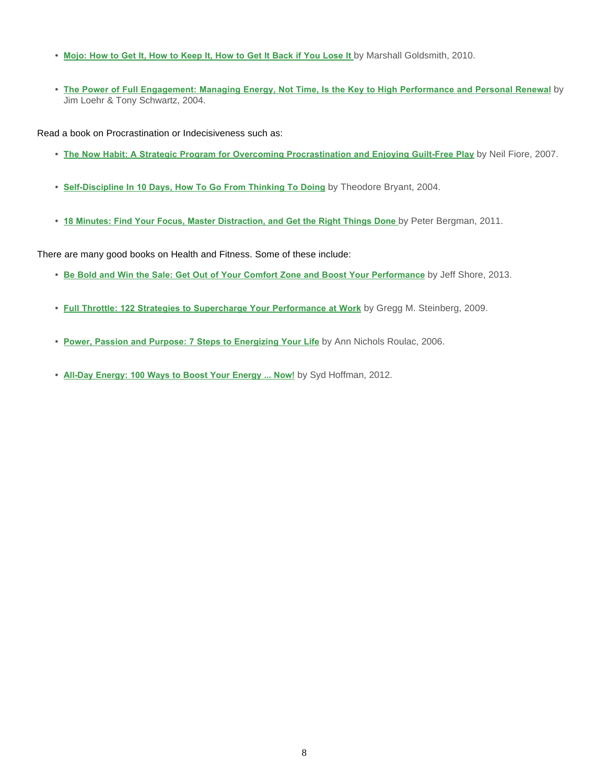- **Mojo: How to Get It, How to Keep It, How to Get It Back if You Lose It** by Marshall Goldsmith, 2010.
- **The Power of Full Engagement: Managing Energy, Not Time, Is the Key to High Performance and Personal Renewal** by Jim Loehr & Tony Schwartz, 2004.

Read a book on Procrastination or Indecisiveness such as:

- **The Now Habit: A Strategic Program for Overcoming Procrastination and Enjoying Guilt-Free Play** by Neil Fiore, 2007.
- **Self-Discipline In 10 Days, How To Go From Thinking To Doing** by Theodore Bryant, 2004.
- **18 Minutes: Find Your Focus, Master Distraction, and Get the Right Things Done** by Peter Bergman, 2011.

There are many good books on Health and Fitness. Some of these include:

- **Be Bold and Win the Sale: Get Out of Your Comfort Zone and Boost Your Performance** by Jeff Shore, 2013.
- **Full Throttle: 122 Strategies to Supercharge Your Performance at Work** by Gregg M. Steinberg, 2009.
- **Power, Passion and Purpose: 7 Steps to Energizing Your Life** by Ann Nichols Roulac, 2006.
- **All-Day Energy: 100 Ways to Boost Your Energy ... Now!** by Syd Hoffman, 2012.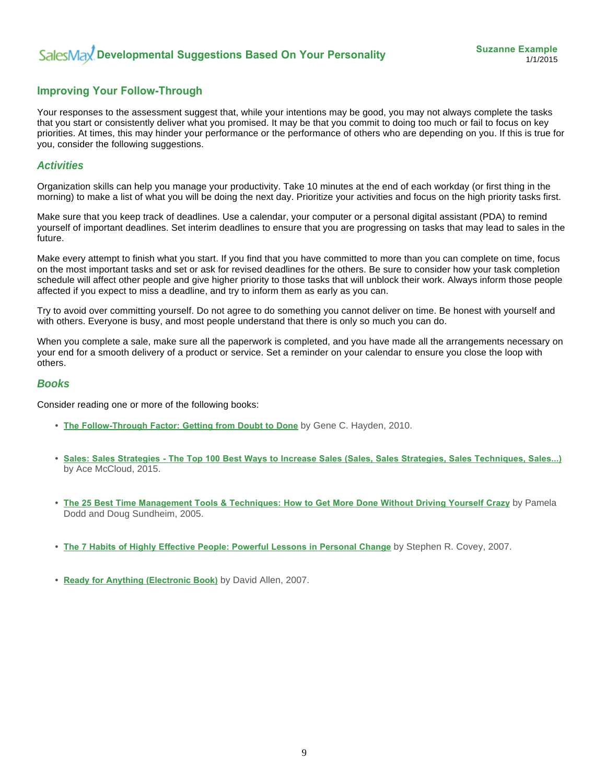# **Improving Your Follow-Through**

Your responses to the assessment suggest that, while your intentions may be good, you may not always complete the tasks that you start or consistently deliver what you promised. It may be that you commit to doing too much or fail to focus on key priorities. At times, this may hinder your performance or the performance of others who are depending on you. If this is true for you, consider the following suggestions.

## *Activities*

Organization skills can help you manage your productivity. Take 10 minutes at the end of each workday (or first thing in the morning) to make a list of what you will be doing the next day. Prioritize your activities and focus on the high priority tasks first.

Make sure that you keep track of deadlines. Use a calendar, your computer or a personal digital assistant (PDA) to remind yourself of important deadlines. Set interim deadlines to ensure that you are progressing on tasks that may lead to sales in the future.

Make every attempt to finish what you start. If you find that you have committed to more than you can complete on time, focus on the most important tasks and set or ask for revised deadlines for the others. Be sure to consider how your task completion schedule will affect other people and give higher priority to those tasks that will unblock their work. Always inform those people affected if you expect to miss a deadline, and try to inform them as early as you can.

Try to avoid over committing yourself. Do not agree to do something you cannot deliver on time. Be honest with yourself and with others. Everyone is busy, and most people understand that there is only so much you can do.

When you complete a sale, make sure all the paperwork is completed, and you have made all the arrangements necessary on your end for a smooth delivery of a product or service. Set a reminder on your calendar to ensure you close the loop with others.

#### *Books*

Consider reading one or more of the following books:

- **The Follow-Through Factor: Getting from Doubt to Done** by Gene C. Hayden, 2010.
- **Sales: Sales Strategies The Top 100 Best Ways to Increase Sales (Sales, Sales Strategies, Sales Techniques, Sales...)** by Ace McCloud, 2015.
- **The 25 Best Time Management Tools & Techniques: How to Get More Done Without Driving Yourself Crazy** by Pamela Dodd and Doug Sundheim, 2005.
- **The 7 Habits of Highly Effective People: Powerful Lessons in Personal Change** by Stephen R. Covey, 2007.
- **Ready for Anything (Electronic Book)** by David Allen, 2007.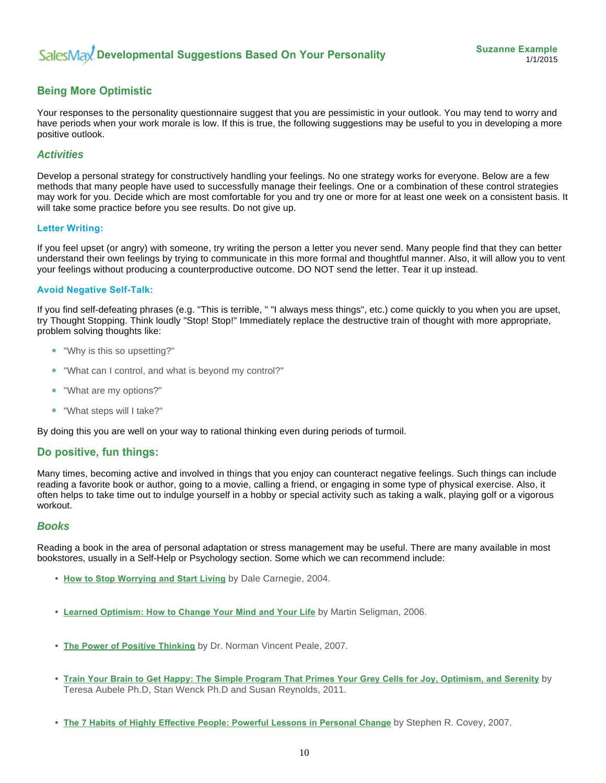# **Being More Optimistic**

Your responses to the personality questionnaire suggest that you are pessimistic in your outlook. You may tend to worry and have periods when your work morale is low. If this is true, the following suggestions may be useful to you in developing a more positive outlook.

# *Activities*

Develop a personal strategy for constructively handling your feelings. No one strategy works for everyone. Below are a few methods that many people have used to successfully manage their feelings. One or a combination of these control strategies may work for you. Decide which are most comfortable for you and try one or more for at least one week on a consistent basis. It will take some practice before you see results. Do not give up.

#### **Letter Writing:**

If you feel upset (or angry) with someone, try writing the person a letter you never send. Many people find that they can better understand their own feelings by trying to communicate in this more formal and thoughtful manner. Also, it will allow you to vent your feelings without producing a counterproductive outcome. DO NOT send the letter. Tear it up instead.

#### **Avoid Negative Self-Talk:**

If you find self-defeating phrases (e.g. "This is terrible, " "I always mess things", etc.) come quickly to you when you are upset, try Thought Stopping. Think loudly "Stop! Stop!" Immediately replace the destructive train of thought with more appropriate, problem solving thoughts like:

- "Why is this so upsetting?"
- "What can I control, and what is beyond my control?"
- ٠ "What are my options?"
- "What steps will I take?"

By doing this you are well on your way to rational thinking even during periods of turmoil.

# **Do positive, fun things:**

Many times, becoming active and involved in things that you enjoy can counteract negative feelings. Such things can include reading a favorite book or author, going to a movie, calling a friend, or engaging in some type of physical exercise. Also, it often helps to take time out to indulge yourself in a hobby or special activity such as taking a walk, playing golf or a vigorous workout.

#### *Books*

Reading a book in the area of personal adaptation or stress management may be useful. There are many available in most bookstores, usually in a Self-Help or Psychology section. Some which we can recommend include:

- **How to Stop Worrying and Start Living** by Dale Carnegie, 2004.
- **Learned Optimism: How to Change Your Mind and Your Life** by Martin Seligman, 2006.
- **The Power of Positive Thinking** by Dr. Norman Vincent Peale, 2007.
- **Train Your Brain to Get Happy: The Simple Program That Primes Your Grey Cells for Joy, Optimism, and Serenity** by Teresa Aubele Ph.D, Stan Wenck Ph.D and Susan Reynolds, 2011.
- **The 7 Habits of Highly Effective People: Powerful Lessons in Personal Change** by Stephen R. Covey, 2007.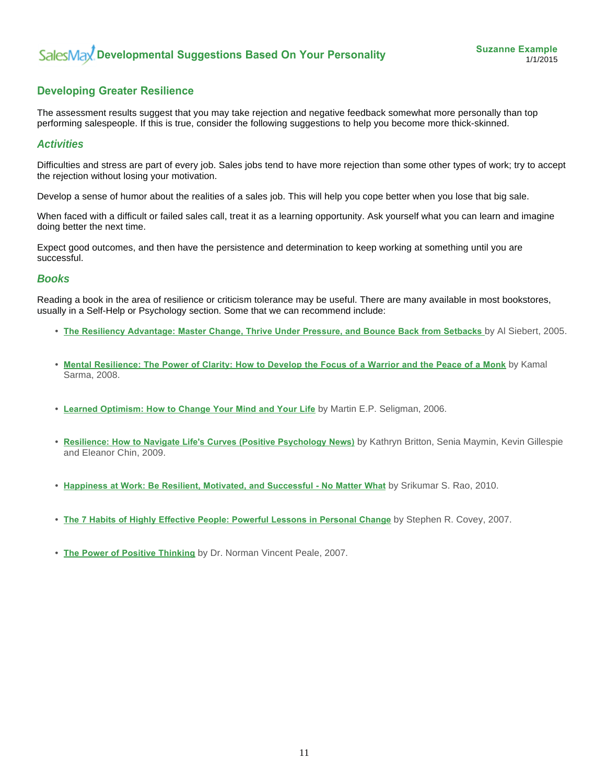# **Developing Greater Resilience**

The assessment results suggest that you may take rejection and negative feedback somewhat more personally than top performing salespeople. If this is true, consider the following suggestions to help you become more thick-skinned.

#### *Activities*

Difficulties and stress are part of every job. Sales jobs tend to have more rejection than some other types of work; try to accept the rejection without losing your motivation.

Develop a sense of humor about the realities of a sales job. This will help you cope better when you lose that big sale.

When faced with a difficult or failed sales call, treat it as a learning opportunity. Ask yourself what you can learn and imagine doing better the next time.

Expect good outcomes, and then have the persistence and determination to keep working at something until you are successful.

#### *Books*

Reading a book in the area of resilience or criticism tolerance may be useful. There are many available in most bookstores, usually in a Self-Help or Psychology section. Some that we can recommend include:

- **The Resiliency Advantage: Master Change, Thrive Under Pressure, and Bounce Back from Setbacks** by Al Siebert, 2005.
- **Mental Resilience: The Power of Clarity: How to Develop the Focus of a Warrior and the Peace of a Monk** by Kamal Sarma, 2008.
- **Learned Optimism: How to Change Your Mind and Your Life** by Martin E.P. Seligman, 2006.
- **Resilience: How to Navigate Life's Curves (Positive Psychology News)** by Kathryn Britton, Senia Maymin, Kevin Gillespie and Eleanor Chin, 2009.
- **Happiness at Work: Be Resilient, Motivated, and Successful No Matter What** by Srikumar S. Rao, 2010.
- **The 7 Habits of Highly Effective People: Powerful Lessons in Personal Change** by Stephen R. Covey, 2007.
- **The Power of Positive Thinking** by Dr. Norman Vincent Peale, 2007.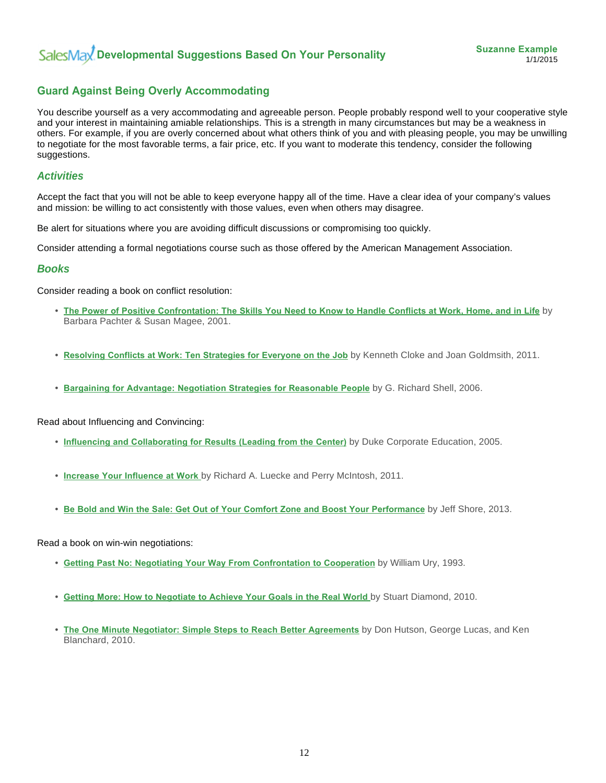# **Guard Against Being Overly Accommodating**

You describe yourself as a very accommodating and agreeable person. People probably respond well to your cooperative style and your interest in maintaining amiable relationships. This is a strength in many circumstances but may be a weakness in others. For example, if you are overly concerned about what others think of you and with pleasing people, you may be unwilling to negotiate for the most favorable terms, a fair price, etc. If you want to moderate this tendency, consider the following suggestions.

## *Activities*

Accept the fact that you will not be able to keep everyone happy all of the time. Have a clear idea of your company's values and mission: be willing to act consistently with those values, even when others may disagree.

Be alert for situations where you are avoiding difficult discussions or compromising too quickly.

Consider attending a formal negotiations course such as those offered by the American Management Association.

#### *Books*

Consider reading a book on conflict resolution:

- **The Power of Positive Confrontation: The Skills You Need to Know to Handle Conflicts at Work, Home, and in Life** by Barbara Pachter & Susan Magee, 2001.
- **Resolving Conflicts at Work: Ten Strategies for Everyone on the Job** by Kenneth Cloke and Joan Goldmsith, 2011.
- **Bargaining for Advantage: Negotiation Strategies for Reasonable People** by G. Richard Shell, 2006.

Read about Influencing and Convincing:

- **Influencing and Collaborating for Results (Leading from the Center)** by Duke Corporate Education, 2005.
- **Increase Your Influence at Work** by Richard A. Luecke and Perry McIntosh, 2011.
- **Be Bold and Win the Sale: Get Out of Your Comfort Zone and Boost Your Performance** by Jeff Shore, 2013.

Read a book on win-win negotiations:

- **Getting Past No: Negotiating Your Way From Confrontation to Cooperation** by William Ury, 1993.
- **Getting More: How to Negotiate to Achieve Your Goals in the Real World** by Stuart Diamond, 2010.
- **The One Minute Negotiator: Simple Steps to Reach Better Agreements** by Don Hutson, George Lucas, and Ken Blanchard, 2010.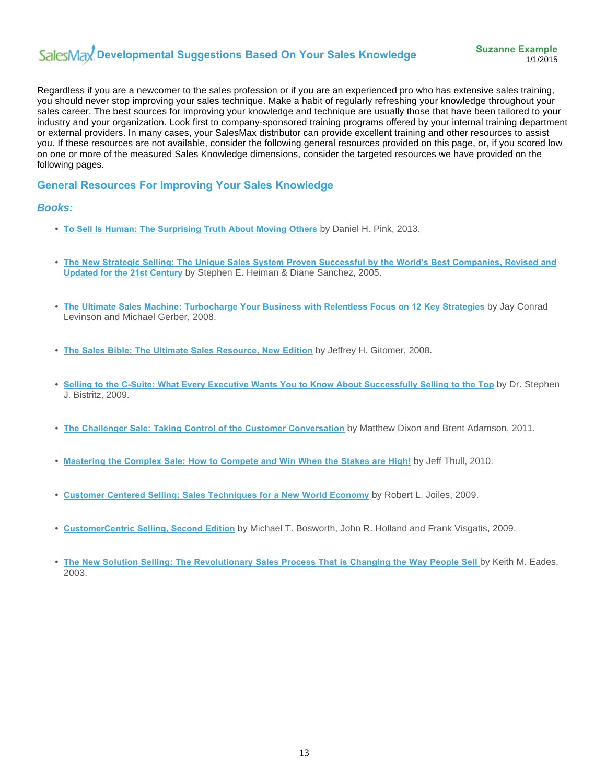# SalesMax Developmental Suggestions Based On Your Sales Knowledge

Regardless if you are a newcomer to the sales profession or if you are an experienced pro who has extensive sales training, you should never stop improving your sales technique. Make a habit of regularly refreshing your knowledge throughout your sales career. The best sources for improving your knowledge and technique are usually those that have been tailored to your industry and your organization. Look first to company-sponsored training programs offered by your internal training department or external providers. In many cases, your SalesMax distributor can provide excellent training and other resources to assist you. If these resources are not available, consider the following general resources provided on this page, or, if you scored low on one or more of the measured Sales Knowledge dimensions, consider the targeted resources we have provided on the following pages.

# **General Resources For Improving Your Sales Knowledge**

#### *Books:*

- **To Sell Is Human: The Surprising Truth About Moving Others** by Daniel H. Pink, 2013.
- **The New Strategic Selling: The Unique Sales System Proven Successful by the World's Best Companies, Revised and Updated for the 21st Century** by Stephen E. Heiman & Diane Sanchez, 2005.
- **The Ultimate Sales Machine: Turbocharge Your Business with Relentless Focus on 12 Key Strategies** by Jay Conrad Levinson and Michael Gerber, 2008.
- **The Sales Bible: The Ultimate Sales Resource, New Edition** by Jeffrey H. Gitomer, 2008.
- **Selling to the C-Suite: What Every Executive Wants You to Know About Successfully Selling to the Top** by Dr. Stephen J. Bistritz, 2009.
- **The Challenger Sale: Taking Control of the Customer Conversation** by Matthew Dixon and Brent Adamson, 2011.
- **Mastering the Complex Sale: How to Compete and Win When the Stakes are High!** by Jeff Thull, 2010.
- **Customer Centered Selling: Sales Techniques for a New World Economy** by Robert L. Joiles, 2009.
- **CustomerCentric Selling, Second Edition** by Michael T. Bosworth, John R. Holland and Frank Visgatis, 2009.
- The New Solution Selling: The Revolutionary Sales Process That is Changing the Way People Sell by Keith M. Eades, 2003.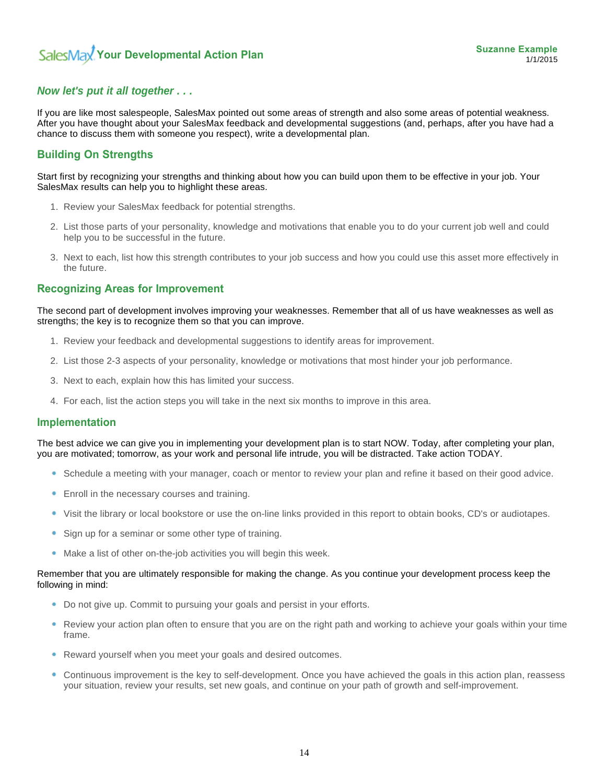# *Now let's put it all together . . .*

If you are like most salespeople, SalesMax pointed out some areas of strength and also some areas of potential weakness. After you have thought about your SalesMax feedback and developmental suggestions (and, perhaps, after you have had a chance to discuss them with someone you respect), write a developmental plan.

# **Building On Strengths**

Start first by recognizing your strengths and thinking about how you can build upon them to be effective in your job. Your SalesMax results can help you to highlight these areas.

- 1. Review your SalesMax feedback for potential strengths.
- 2. List those parts of your personality, knowledge and motivations that enable you to do your current job well and could help you to be successful in the future.
- 3. Next to each, list how this strength contributes to your job success and how you could use this asset more effectively in the future.

# **Recognizing Areas for Improvement**

The second part of development involves improving your weaknesses. Remember that all of us have weaknesses as well as strengths; the key is to recognize them so that you can improve.

- 1. Review your feedback and developmental suggestions to identify areas for improvement.
- 2. List those 2-3 aspects of your personality, knowledge or motivations that most hinder your job performance.
- 3. Next to each, explain how this has limited your success.
- 4. For each, list the action steps you will take in the next six months to improve in this area.

#### **Implementation**

The best advice we can give you in implementing your development plan is to start NOW. Today, after completing your plan, you are motivated; tomorrow, as your work and personal life intrude, you will be distracted. Take action TODAY.

- Schedule a meeting with your manager, coach or mentor to review your plan and refine it based on their good advice.
- **Enroll in the necessary courses and training.**
- Visit the library or local bookstore or use the on-line links provided in this report to obtain books, CD's or audiotapes.
- Sign up for a seminar or some other type of training. ۰
- Make a list of other on-the-job activities you will begin this week.

#### Remember that you are ultimately responsible for making the change. As you continue your development process keep the following in mind:

- **Do not give up. Commit to pursuing your goals and persist in your efforts.**
- ۰ Review your action plan often to ensure that you are on the right path and working to achieve your goals within your time frame.
- Reward yourself when you meet your goals and desired outcomes.
- Continuous improvement is the key to self-development. Once you have achieved the goals in this action plan, reassess ٠ your situation, review your results, set new goals, and continue on your path of growth and self-improvement.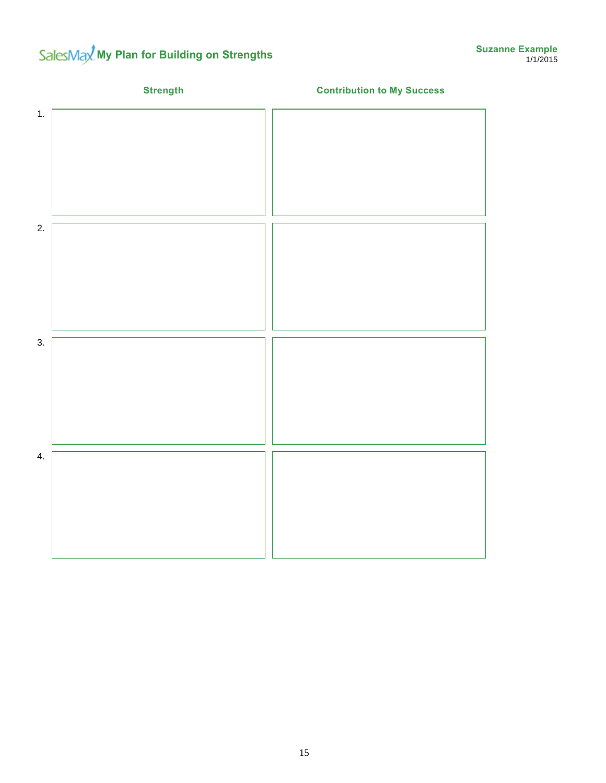# SalesMax<sup>t</sup> My Plan for Building on Strengths

|    | <b>Strength</b> | <b>Contribution to My Success</b> |
|----|-----------------|-----------------------------------|
| 1. |                 |                                   |
| 2. |                 |                                   |
| 3. |                 |                                   |
| 4. |                 |                                   |